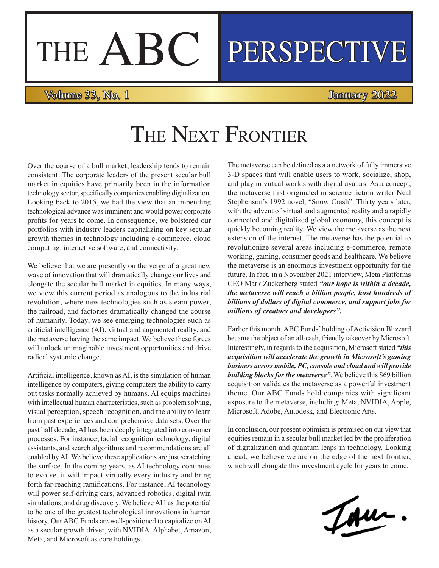# THE ABC PERSPECTIVE

#### Volume 33, No. 1 January 2022

## THE NEXT FRONTIER

Over the course of a bull market, leadership tends to remain consistent. The corporate leaders of the present secular bull market in equities have primarily been in the information technology sector, specifically companies enabling digitalization. Looking back to 2015, we had the view that an impending technological advance was imminent and would power corporate profits for years to come. In consequence, we bolstered our portfolios with industry leaders capitalizing on key secular growth themes in technology including e-commerce, cloud computing, interactive software, and connectivity.

We believe that we are presently on the verge of a great new wave of innovation that will dramatically change our lives and elongate the secular bull market in equities. In many ways, we view this current period as analogous to the industrial revolution, where new technologies such as steam power, the railroad, and factories dramatically changed the course of humanity. Today, we see emerging technologies such as artificial intelligence (AI), virtual and augmented reality, and the metaverse having the same impact. We believe these forces will unlock unimaginable investment opportunities and drive radical systemic change.

Artificial intelligence, known as AI, is the simulation of human intelligence by computers, giving computers the ability to carry out tasks normally achieved by humans. AI equips machines with intellectual human characteristics, such as problem solving, visual perception, speech recognition, and the ability to learn from past experiences and comprehensive data sets. Over the past half decade, AI has been deeply integrated into consumer processes. For instance, facial recognition technology, digital assistants, and search algorithms and recommendations are all enabled by AI. We believe these applications are just scratching the surface. In the coming years, as AI technology continues to evolve, it will impact virtually every industry and bring forth far-reaching ramifications. For instance, AI technology will power self-driving cars, advanced robotics, digital twin simulations, and drug discovery. We believe AI has the potential to be one of the greatest technological innovations in human history. Our ABC Funds are well-positioned to capitalize on AI as a secular growth driver, with NVIDIA, Alphabet, Amazon, Meta, and Microsoft as core holdings.

The metaverse can be defined as a a network of fully immersive 3-D spaces that will enable users to work, socialize, shop, and play in virtual worlds with digital avatars. As a concept, the metaverse first originated in science fiction writer Neal Stephenson's 1992 novel, "Snow Crash". Thirty years later, with the advent of virtual and augmented reality and a rapidly connected and digitalized global economy, this concept is quickly becoming reality. We view the metaverse as the next extension of the internet. The metaverse has the potential to revolutionize several areas including e-commerce, remote working, gaming, consumer goods and healthcare. We believe the metaverse is an enormous investment opportunity for the future. In fact, in a November 2021 interview, Meta Platforms CEO Mark Zuckerberg stated *"our hope is within a decade, the metaverse will reach a billion people, host hundreds of billions of dollars of digital commerce, and support jobs for millions of creators and developers"*.

Earlier this month, ABC Funds' holding of Activision Blizzard became the object of an all-cash, friendly takeover by Microsoft. Interestingly, in regards to the acquisition, Microsoft stated *"this acquisition will accelerate the growth in Microsoft's gaming business across mobile, PC, console and cloud and will provide building blocks for the metaverse"*. We believe this \$69 billion acquisition validates the metaverse as a powerful investment theme. Our ABC Funds hold companies with significant exposure to the metaverse, including: Meta, NVIDIA, Apple, Microsoft, Adobe, Autodesk, and Electronic Arts.

In conclusion, our present optimism is premised on our view that equities remain in a secular bull market led by the proliferation of digitalization and quantum leaps in technology. Looking ahead, we believe we are on the edge of the next frontier, which will elongate this investment cycle for years to come.

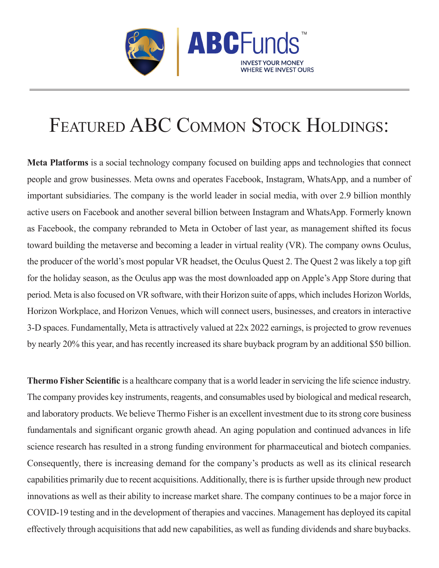

## FEATURED ABC COMMON STOCK HOLDINGS:

**Meta Platforms** is a social technology company focused on building apps and technologies that connect people and grow businesses. Meta owns and operates Facebook, Instagram, WhatsApp, and a number of important subsidiaries. The company is the world leader in social media, with over 2.9 billion monthly active users on Facebook and another several billion between Instagram and WhatsApp. Formerly known as Facebook, the company rebranded to Meta in October of last year, as management shifted its focus toward building the metaverse and becoming a leader in virtual reality (VR). The company owns Oculus, the producer of the world's most popular VR headset, the Oculus Quest 2. The Quest 2 was likely a top gift for the holiday season, as the Oculus app was the most downloaded app on Apple's App Store during that period. Meta is also focused on VR software, with their Horizon suite of apps, which includes Horizon Worlds, Horizon Workplace, and Horizon Venues, which will connect users, businesses, and creators in interactive 3-D spaces. Fundamentally, Meta is attractively valued at 22x 2022 earnings, is projected to grow revenues by nearly 20% this year, and has recently increased its share buyback program by an additional \$50 billion.

**Thermo Fisher Scientific** is a healthcare company that is a world leader in servicing the life science industry. The company provides key instruments, reagents, and consumables used by biological and medical research, and laboratory products. We believe Thermo Fisher is an excellent investment due to its strong core business fundamentals and significant organic growth ahead. An aging population and continued advances in life science research has resulted in a strong funding environment for pharmaceutical and biotech companies. Consequently, there is increasing demand for the company's products as well as its clinical research capabilities primarily due to recent acquisitions. Additionally, there is is further upside through new product innovations as well as their ability to increase market share. The company continues to be a major force in COVID-19 testing and in the development of therapies and vaccines. Management has deployed its capital effectively through acquisitions that add new capabilities, as well as funding dividends and share buybacks.